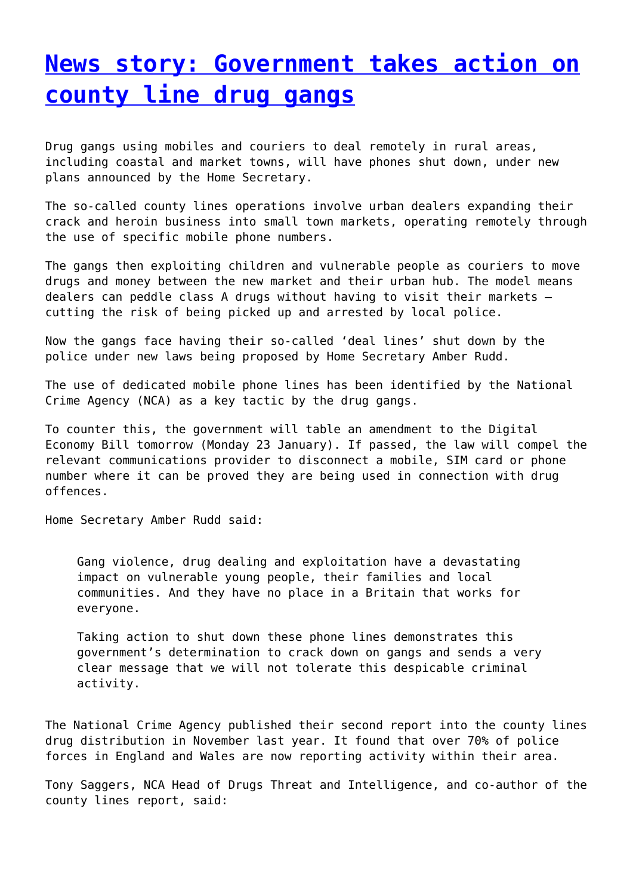## **[News story: Government takes action on](http://www.government-world.com/news-story-government-takes-action-on-county-line-drug-gangs/) [county line drug gangs](http://www.government-world.com/news-story-government-takes-action-on-county-line-drug-gangs/)**

Drug gangs using mobiles and couriers to deal remotely in rural areas, including coastal and market towns, will have phones shut down, under new plans announced by the Home Secretary.

The so-called county lines operations involve urban dealers expanding their crack and heroin business into small town markets, operating remotely through the use of specific mobile phone numbers.

The gangs then exploiting children and vulnerable people as couriers to move drugs and money between the new market and their urban hub. The model means dealers can peddle class A drugs without having to visit their markets – cutting the risk of being picked up and arrested by local police.

Now the gangs face having their so-called 'deal lines' shut down by the police under new laws being proposed by Home Secretary Amber Rudd.

The use of dedicated mobile phone lines has been identified by the National Crime Agency (NCA) as a key tactic by the drug gangs.

To counter this, the government will table an amendment to the Digital Economy Bill tomorrow (Monday 23 January). If passed, the law will compel the relevant communications provider to disconnect a mobile, SIM card or phone number where it can be proved they are being used in connection with drug offences.

Home Secretary Amber Rudd said:

Gang violence, drug dealing and exploitation have a devastating impact on vulnerable young people, their families and local communities. And they have no place in a Britain that works for everyone.

Taking action to shut down these phone lines demonstrates this government's determination to crack down on gangs and sends a very clear message that we will not tolerate this despicable criminal activity.

The National Crime Agency published their second report into the county lines drug distribution in November last year. It found that over 70% of police forces in England and Wales are now reporting activity within their area.

Tony Saggers, NCA Head of Drugs Threat and Intelligence, and co-author of the county lines report, said: